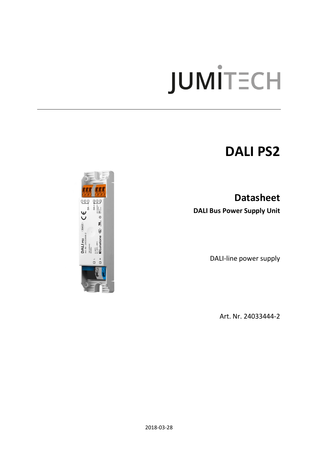# **JUMITECH**

# **DALI PS2**

**Datasheet DALI Bus Power Supply Unit**

DALI-line power supply

Art. Nr. 24033444-2

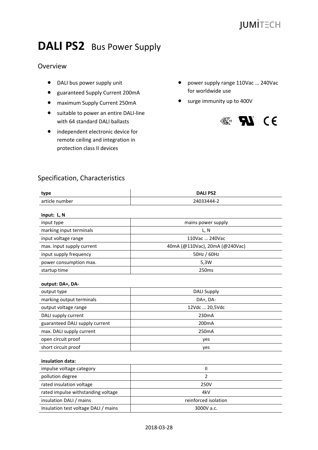# **DALI PS2** Bus Power Supply

## Overview

- DALI bus power supply unit
- guaranteed Supply Current 200mA
- maximum Supply Current 250mA
- suitable to power an entire DALI-line with 64 standard DALI ballasts
- independent electronic device for remote ceiling and integration in protection class II devices
- power supply range 110Vac ... 240Vac for worldwide use
- surge immunity up to 400V



# Specification, Characteristics

| type                                 | <b>DALI PS2</b>                |
|--------------------------------------|--------------------------------|
| article number                       | 24033444-2                     |
| input: L, N                          |                                |
| input type                           | mains power supply             |
| marking input terminals              | L, N                           |
| input voltage range                  | 110Vac  240Vac                 |
| max. input supply current            | 40mA (@110Vac), 20mA (@240Vac) |
| input supply frequency               | 50Hz / 60Hz                    |
| power consumption max.               | 5,3W                           |
| startup time                         | 250 <sub>ms</sub>              |
| output: DA+, DA-                     |                                |
| output type                          | <b>DALI Supply</b>             |
| marking output terminals             | DA+, DA-                       |
| output voltage range                 | 12Vdc  20,5Vdc                 |
| DALI supply current                  | 230mA                          |
| guaranteed DALI supply current       | 200 <sub>m</sub> A             |
| max. DALI supply current             | 250mA                          |
| open circuit proof                   | yes                            |
| short circuit proof                  | yes                            |
| insulation data:                     |                                |
| impulse voltage category             | $\mathsf{I}\mathsf{I}$         |
| pollution degree                     | 2                              |
| rated insulation voltage             | 250V                           |
| rated impulse withstanding voltage   | 4kV                            |
| insulation DALI / mains              | reinforced isolation           |
| Insulation test voltage DALI / mains | 3000V a.c.                     |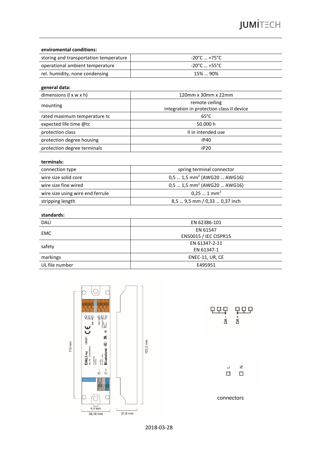#### **enviromental conditions:**

| storing and transportation temperature | -20°C  +75°C               |
|----------------------------------------|----------------------------|
| operational ambient temperature        | $-20^{\circ}$ C  +55°C $-$ |
| rel. humidity, none condensing         | 15%  90%                   |

#### **general data:**

| dimensions $(l \times w \times h)$ | $120$ mm x 30mm x 22mm                                      |
|------------------------------------|-------------------------------------------------------------|
| mounting                           | remote ceiling<br>integration in protection class II device |
| rated maximum temperature to       | $65^{\circ}$ C                                              |
| expected life time @tc             | 50.000 h                                                    |
| protection class                   | II in intended use                                          |
| protection degree housing          | <b>IP40</b>                                                 |
| protection degree terminals        | <b>IP20</b>                                                 |

#### **terminals:**

| spring terminal connector                |
|------------------------------------------|
| $0,51,5$ mm <sup>2</sup> (AWG20  AWG16)  |
| $0.5$ 1,5 mm <sup>2</sup> (AWG20  AWG16) |
| $0.251$ mm <sup>2</sup>                  |
| 8,5  9,5 mm / 0,33  0,37 inch            |
|                                          |

#### **standards:**

| DALI           | EN 62386-101          |
|----------------|-----------------------|
| <b>EMC</b>     | EN 61547              |
|                | EN50015 / IEC CISPR15 |
| safety         | EN 61347-2-11         |
|                | EN 61347-1            |
| markings       | ENEC-11, UR, CE       |
| UL file number | E495951               |
|                |                       |

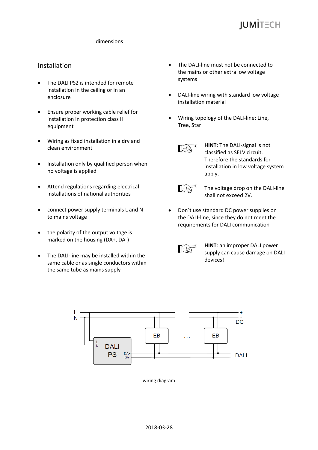

#### dimensions

### Installation

- The DALI PS2 is intended for remote installation in the ceiling or in an enclosure
- Ensure proper working cable relief for installation in protection class II equipment
- Wiring as fixed installation in a dry and clean environment
- Installation only by qualified person when no voltage is applied
- Attend regulations regarding electrical installations of national authorities
- connect power supply terminals L and N to mains voltage
- the polarity of the output voltage is marked on the housing (DA+, DA-)
- The DALI-line may be installed within the same cable or as single conductors within the same tube as mains supply
- The DALI-line must not be connected to the mains or other extra low voltage systems
- DALI-line wiring with standard low voltage installation material
- Wiring topology of the DALI-line: Line, Tree, Star



**HINT**: The DALI-signal is not classified as SELV circuit. Therefore the standards for installation in low voltage system apply.



The voltage drop on the DALI-line shall not exceed 2V.

 Don´t use standard DC power supplies on the DALI-line, since they do not meet the requirements for DALI communication



**HINT**: an improper DALI power supply can cause damage on DALI devices!



wiring diagram